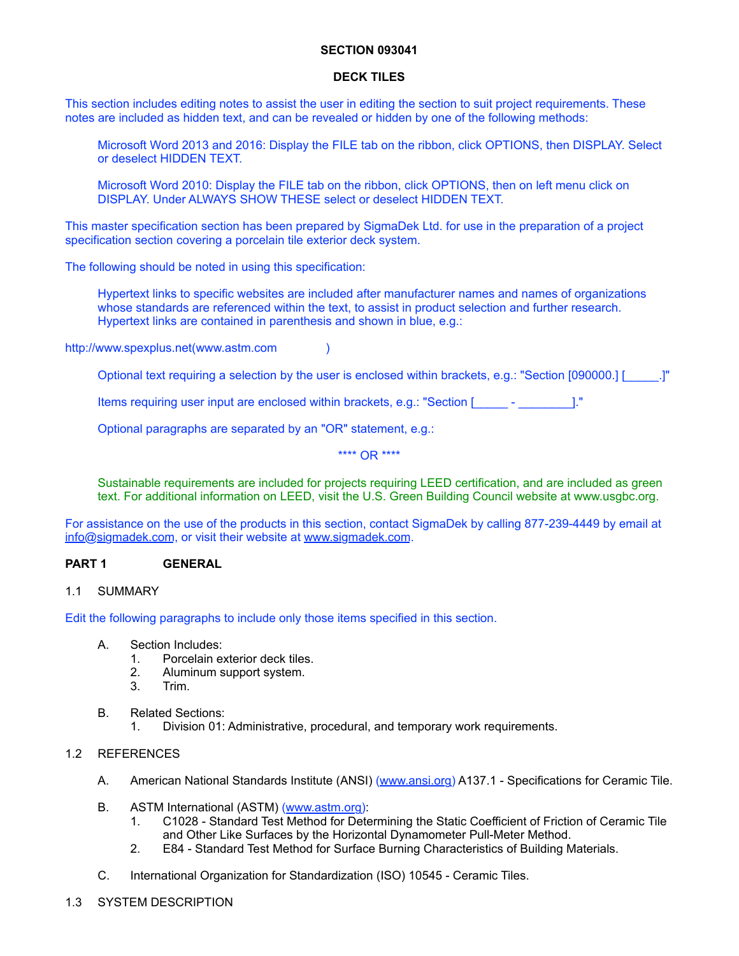### **SECTION 093041**

#### **DECK TILES**

This section includes editing notes to assist the user in editing the section to suit project requirements. These notes are included as hidden text, and can be revealed or hidden by one of the following methods:

Microsoft Word 2013 and 2016: Display the FILE tab on the ribbon, click OPTIONS, then DISPLAY. Select or deselect HIDDEN TEXT.

Microsoft Word 2010: Display the FILE tab on the ribbon, click OPTIONS, then on left menu click on DISPLAY. Under ALWAYS SHOW THESE select or deselect HIDDEN TEXT.

This master specification section has been prepared by SigmaDek Ltd. for use in the preparation of a project specification section covering a porcelain tile exterior deck system.

The following should be noted in using this specification:

Hypertext links to specific websites are included after manufacturer names and names of organizations whose standards are referenced within the text, to assist in product selection and further research. Hypertext links are contained in parenthesis and shown in blue, e.g.:

<http://www.spexplus.net>[\(www.astm.com](http://www.astm.com) )

Optional text requiring a selection by the user is enclosed within brackets, e.g.: "Section [090000.] [\_\_\_\_\_.]"

Items requiring user input are enclosed within brackets, e.g.: "Section [\_\_\_\_\_ - \_\_\_\_\_\_\_\_]."

Optional paragraphs are separated by an "OR" statement, e.g.:

\*\*\*\* OR \*\*\*\*

Sustainable requirements are included for projects requiring LEED certification, and are included as green text. For additional information on LEED, visit the U.S. Green Building Council website at [www.usgbc.org](http://www.usgbc.org).

For assistance on the use of the products in this section, contact SigmaDek by calling 877-239-4449 by email at [info@sigmadek.com,](mailto:info@sigmadek.com) or visit their website at [www.sigmadek.com](http://www.sigmadek.com).

### **PART 1 GENERAL**

## 1.1 SUMMARY

Edit the following paragraphs to include only those items specified in this section.

- A. Section Includes:
	- 1. Porcelain exterior deck tiles.
	- 2. Aluminum support system.
	- 3. Trim.
- B. Related Sections:
	- 1. Division 01: Administrative, procedural, and temporary work requirements.

#### 1.2 REFERENCES

- A. American National Standards Institute (ANSI) ([www.ansi.org](http://www.ansi.org)) A137.1 Specifications for Ceramic Tile.
- B. ASTM International (ASTM) ([www.astm.org\)](http://www.astm.org):
	- 1. C1028 Standard Test Method for Determining the Static Coefficient of Friction of Ceramic Tile and Other Like Surfaces by the Horizontal Dynamometer Pull-Meter Method.
	- 2. E84 Standard Test Method for Surface Burning Characteristics of Building Materials.
- C. International Organization for Standardization (ISO) 10545 Ceramic Tiles.
- 1.3 SYSTEM DESCRIPTION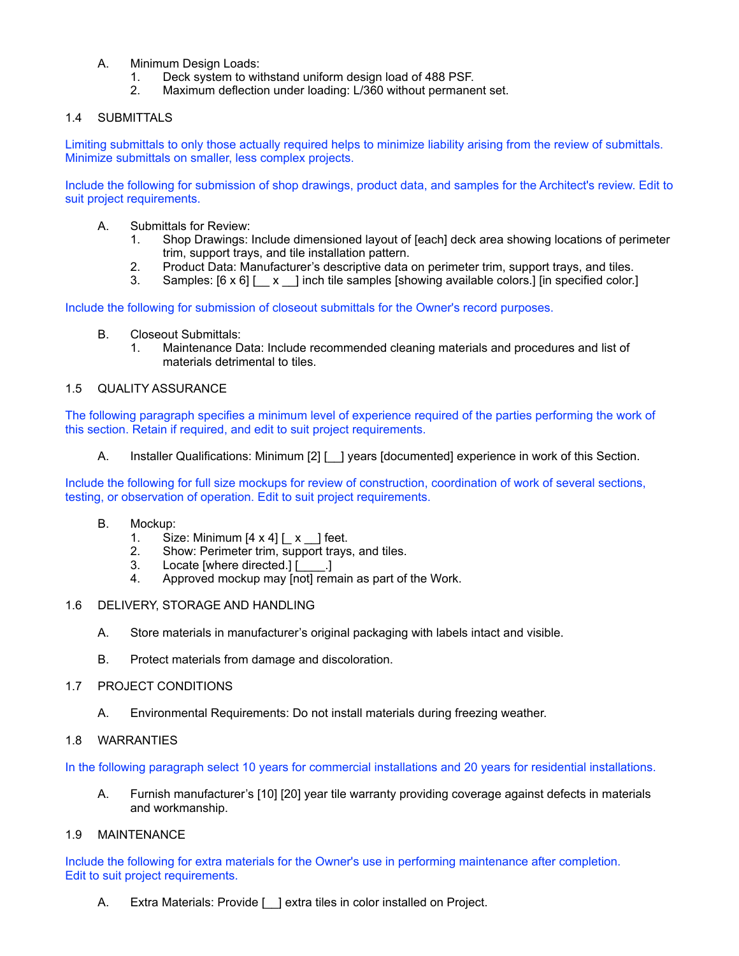- A. Minimum Design Loads:
	- 1. Deck system to withstand uniform design load of 488 PSF.
	- 2. Maximum deflection under loading: L/360 without permanent set.

# 1.4 SUBMITTALS

Limiting submittals to only those actually required helps to minimize liability arising from the review of submittals. Minimize submittals on smaller, less complex projects.

Include the following for submission of shop drawings, product data, and samples for the Architect's review. Edit to suit project requirements.

- A. Submittals for Review:
	- 1. Shop Drawings: Include dimensioned layout of [each] deck area showing locations of perimeter trim, support trays, and tile installation pattern.
	- 2. Product Data: Manufacturer's descriptive data on perimeter trim, support trays, and tiles.
	- 3. Samples:  $[6 \times 6]$  | x | inch tile samples [showing available colors.] [in specified color.]

Include the following for submission of closeout submittals for the Owner's record purposes.

- B. Closeout Submittals:
	- 1. Maintenance Data: Include recommended cleaning materials and procedures and list of materials detrimental to tiles.

## 1.5 QUALITY ASSURANCE

The following paragraph specifies a minimum level of experience required of the parties performing the work of this section. Retain if required, and edit to suit project requirements.

A. Installer Qualifications: Minimum [2] [1] years [documented] experience in work of this Section.

Include the following for full size mockups for review of construction, coordination of work of several sections, testing, or observation of operation. Edit to suit project requirements.

- B. Mockup:
	- 1. Size: Minimum  $[4 \times 4]$   $\begin{bmatrix} 2 & 1 \end{bmatrix}$  feet.
	- 2. Show: Perimeter trim, support trays, and tiles.
	- 3. Locate [where directed.] [\_\_\_\_.]
	- 4. Approved mockup may [not] remain as part of the Work.
- 1.6 DELIVERY, STORAGE AND HANDLING
	- A. Store materials in manufacturer's original packaging with labels intact and visible.
	- B. Protect materials from damage and discoloration.

## 1.7 PROJECT CONDITIONS

A. Environmental Requirements: Do not install materials during freezing weather.

# 1.8 WARRANTIES

In the following paragraph select 10 years for commercial installations and 20 years for residential installations.

A. Furnish manufacturer's [10] [20] year tile warranty providing coverage against defects in materials and workmanship.

### 1.9 MAINTENANCE

Include the following for extra materials for the Owner's use in performing maintenance after completion. Edit to suit project requirements.

A. Extra Materials: Provide [ ] extra tiles in color installed on Project.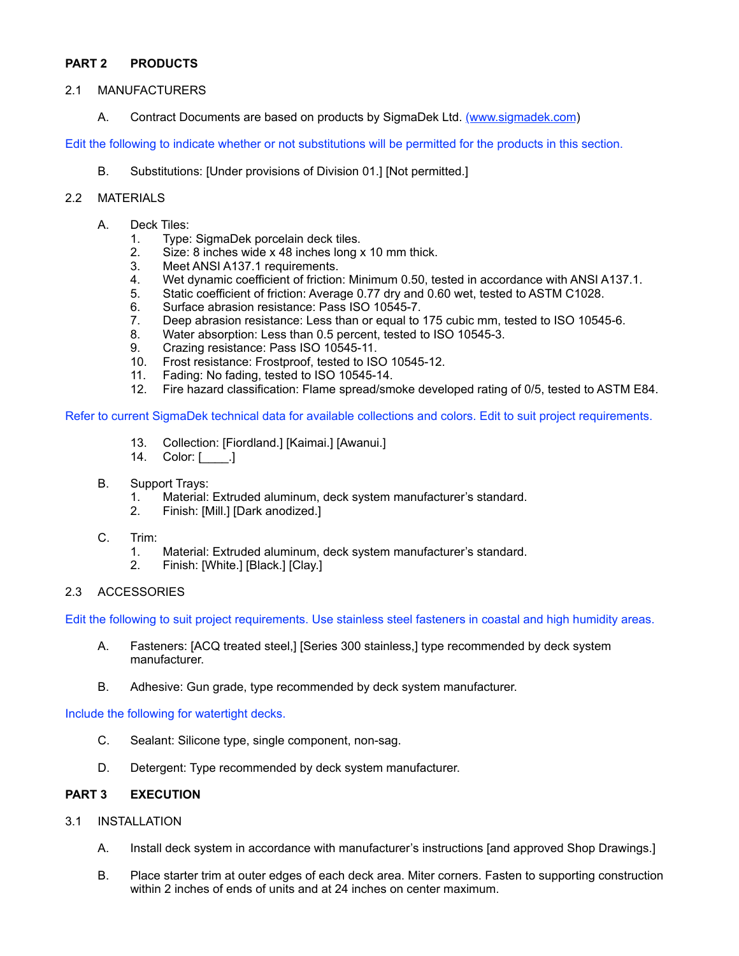# **PART 2 PRODUCTS**

## 2.1 MANUFACTURERS

A. Contract Documents are based on products by SigmaDek Ltd. [\(www.sigmadek.com\)](http://www.sigmadek.com)

Edit the following to indicate whether or not substitutions will be permitted for the products in this section.

B. Substitutions: [Under provisions of Division 01.] [Not permitted.]

## 2.2 MATERIALS

- A. Deck Tiles:
	- 1. Type: SigmaDek porcelain deck tiles.
	- 2. Size: 8 inches wide x 48 inches long x 10 mm thick.<br>3. Meet ANSI A137.1 requirements.
	- Meet ANSI A137.1 requirements.
	- 4. Wet dynamic coefficient of friction: Minimum 0.50, tested in accordance with ANSI A137.1.
	- 5. Static coefficient of friction: Average 0.77 dry and 0.60 wet, tested to ASTM C1028.
	- 6. Surface abrasion resistance: Pass ISO 10545-7.
	- 7. Deep abrasion resistance: Less than or equal to 175 cubic mm, tested to ISO 10545-6.
	- 8. Water absorption: Less than 0.5 percent, tested to ISO 10545-3.
	- 9. Crazing resistance: Pass ISO 10545-11.
	- 10. Frost resistance: Frostproof, tested to ISO 10545-12.
	- 11. Fading: No fading, tested to ISO 10545-14.
	- 12. Fire hazard classification: Flame spread/smoke developed rating of 0/5, tested to ASTM E84.

Refer to current SigmaDek technical data for available collections and colors. Edit to suit project requirements.

- 13. Collection: [Fiordland.] [Kaimai.] [Awanui.]
- 14. Color: [\_\_\_\_.]
- B. Support Trays:
	- 1. Material: Extruded aluminum, deck system manufacturer's standard.
	- 2. Finish: [Mill.] [Dark anodized.]
- C. Trim:
	- 1. Material: Extruded aluminum, deck system manufacturer's standard.
	- 2. Finish: [White.] [Black.] [Clay.]
- 2.3 ACCESSORIES

Edit the following to suit project requirements. Use stainless steel fasteners in coastal and high humidity areas.

- A. Fasteners: [ACQ treated steel,] [Series 300 stainless,] type recommended by deck system manufacturer.
- B. Adhesive: Gun grade, type recommended by deck system manufacturer.

Include the following for watertight decks.

- C. Sealant: Silicone type, single component, non-sag.
- D. Detergent: Type recommended by deck system manufacturer.

### **PART 3 EXECUTION**

- 3.1 INSTALLATION
	- A. Install deck system in accordance with manufacturer's instructions [and approved Shop Drawings.]
	- B. Place starter trim at outer edges of each deck area. Miter corners. Fasten to supporting construction within 2 inches of ends of units and at 24 inches on center maximum.